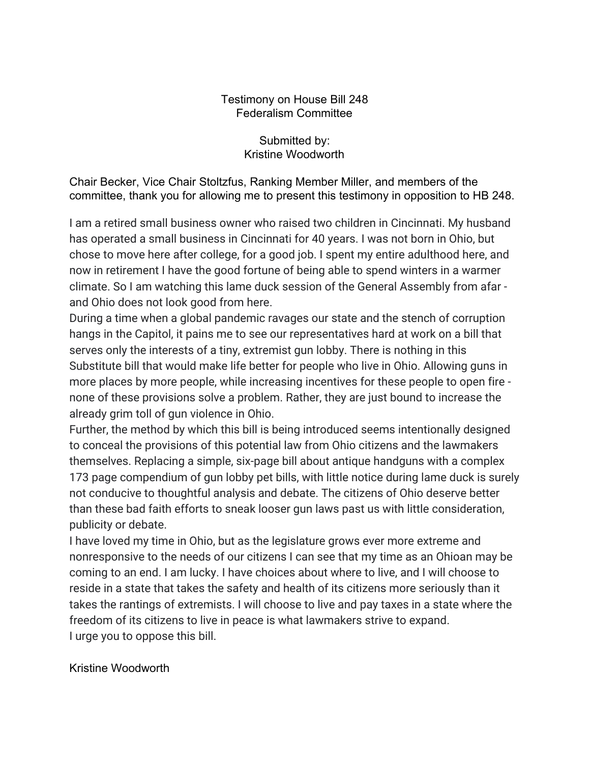## Testimony on House Bill 248 Federalism Committee

Submitted by: Kristine Woodworth

Chair Becker, Vice Chair Stoltzfus, Ranking Member Miller, and members of the committee, thank you for allowing me to present this testimony in opposition to HB 248.

I am a retired small business owner who raised two children in Cincinnati. My husband has operated a small business in Cincinnati for 40 years. I was not born in Ohio, but chose to move here after college, for a good job. I spent my entire adulthood here, and now in retirement I have the good fortune of being able to spend winters in a warmer climate. So I am watching this lame duck session of the General Assembly from afar and Ohio does not look good from here.

During a time when a global pandemic ravages our state and the stench of corruption hangs in the Capitol, it pains me to see our representatives hard at work on a bill that serves only the interests of a tiny, extremist gun lobby. There is nothing in this Substitute bill that would make life better for people who live in Ohio. Allowing guns in more places by more people, while increasing incentives for these people to open fire none of these provisions solve a problem. Rather, they are just bound to increase the already grim toll of gun violence in Ohio.

Further, the method by which this bill is being introduced seems intentionally designed to conceal the provisions of this potential law from Ohio citizens and the lawmakers themselves. Replacing a simple, six-page bill about antique handguns with a complex 173 page compendium of gun lobby pet bills, with little notice during lame duck is surely not conducive to thoughtful analysis and debate. The citizens of Ohio deserve better than these bad faith efforts to sneak looser gun laws past us with little consideration, publicity or debate.

I have loved my time in Ohio, but as the legislature grows ever more extreme and nonresponsive to the needs of our citizens I can see that my time as an Ohioan may be coming to an end. I am lucky. I have choices about where to live, and I will choose to reside in a state that takes the safety and health of its citizens more seriously than it takes the rantings of extremists. I will choose to live and pay taxes in a state where the freedom of its citizens to live in peace is what lawmakers strive to expand. I urge you to oppose this bill.

Kristine Woodworth